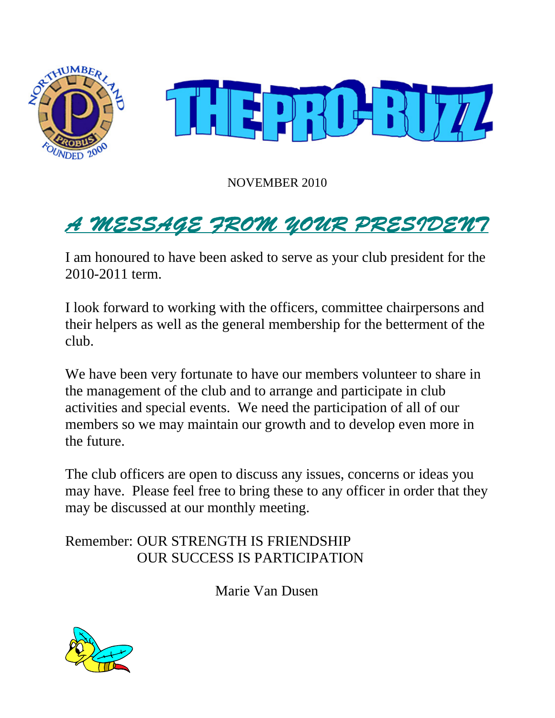

NOVEMBER 2010

# A MESSAGE FROM YOUR PRESIDENT

I am honoured to have been asked to serve as your club president for the 2010-2011 term.

I look forward to working with the officers, committee chairpersons and their helpers as well as the general membership for the betterment of the club.

We have been very fortunate to have our members volunteer to share in the management of the club and to arrange and participate in club activities and special events. We need the participation of all of our members so we may maintain our growth and to develop even more in the future.

The club officers are open to discuss any issues, concerns or ideas you may have. Please feel free to bring these to any officer in order that they may be discussed at our monthly meeting.

Remember: OUR STRENGTH IS FRIENDSHIP OUR SUCCESS IS PARTICIPATION

Marie Van Dusen

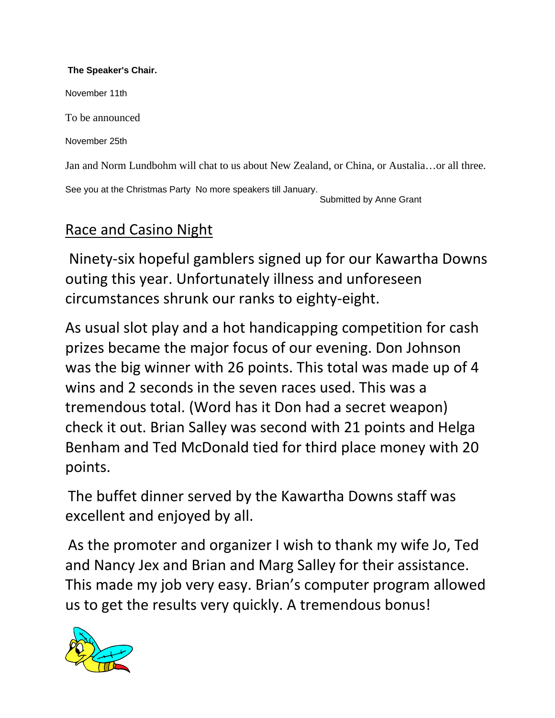#### **The Speaker's Chair.**

November 11th

To be announced

November 25th

Jan and Norm Lundbohm will chat to us about New Zealand, or China, or Austalia…or all three.

See you at the Christmas Party No more speakers till January. Submitted by Anne Grant

### Race and Casino Night

Ninety‐six hopeful gamblers signed up for our Kawartha Downs outing this year. Unfortunately illness and unforeseen circumstances shrunk our ranks to eighty‐eight.

As usual slot play and a hot handicapping competition for cash prizes became the major focus of our evening. Don Johnson was the big winner with 26 points. This total was made up of 4 wins and 2 seconds in the seven races used. This was a tremendous total. (Word has it Don had a secret weapon) check it out. Brian Salley was second with 21 points and Helga Benham and Ted McDonald tied for third place money with 20 points.

The buffet dinner served by the Kawartha Downs staff was excellent and enjoyed by all.

As the promoter and organizer I wish to thank my wife Jo, Ted and Nancy Jex and Brian and Marg Salley for their assistance. This made my job very easy. Brian's computer program allowed us to get the results very quickly. A tremendous bonus!

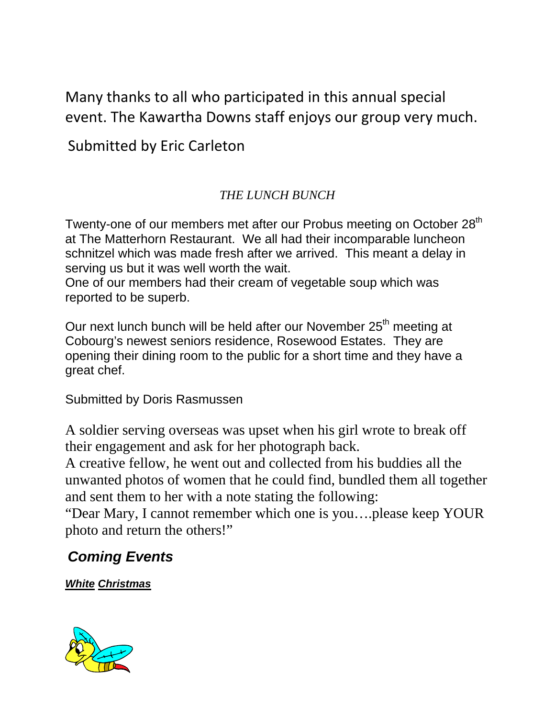Many thanks to all who participated in this annual special event. The Kawartha Downs staff enjoys our group very much.

Submitted by Eric Carleton

### *THE LUNCH BUNCH*

Twenty-one of our members met after our Probus meeting on October 28<sup>th</sup> at The Matterhorn Restaurant. We all had their incomparable luncheon schnitzel which was made fresh after we arrived. This meant a delay in serving us but it was well worth the wait.

One of our members had their cream of vegetable soup which was reported to be superb.

Our next lunch bunch will be held after our November 25<sup>th</sup> meeting at Cobourg's newest seniors residence, Rosewood Estates. They are opening their dining room to the public for a short time and they have a great chef.

Submitted by Doris Rasmussen

A soldier serving overseas was upset when his girl wrote to break off their engagement and ask for her photograph back.

A creative fellow, he went out and collected from his buddies all the unwanted photos of women that he could find, bundled them all together and sent them to her with a note stating the following:

"Dear Mary, I cannot remember which one is you….please keep YOUR photo and return the others!"

# *Coming Events*

*White Christmas*

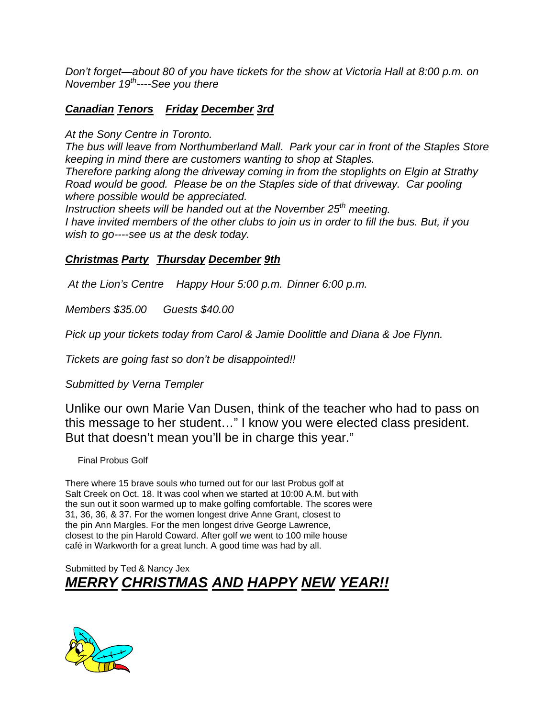*Don't forget—about 80 of you have tickets for the show at Victoria Hall at 8:00 p.m. on November 19th----See you there* 

#### *Canadian Tenors Friday December 3rd*

*At the Sony Centre in Toronto.* 

*The bus will leave from Northumberland Mall. Park your car in front of the Staples Store keeping in mind there are customers wanting to shop at Staples.* 

*Therefore parking along the driveway coming in from the stoplights on Elgin at Strathy Road would be good. Please be on the Staples side of that driveway. Car pooling where possible would be appreciated.* 

*Instruction sheets will be handed out at the November 25<sup>th</sup> meeting. I have invited members of the other clubs to join us in order to fill the bus. But, if you wish to go----see us at the desk today.* 

#### *Christmas Party Thursday December 9th*

 *At the Lion's Centre Happy Hour 5:00 p.m. Dinner 6:00 p.m.* 

*Members \$35.00 Guests \$40.00* 

*Pick up your tickets today from Carol & Jamie Doolittle and Diana & Joe Flynn.* 

*Tickets are going fast so don't be disappointed!!* 

*Submitted by Verna Templer* 

Unlike our own Marie Van Dusen, think of the teacher who had to pass on this message to her student…" I know you were elected class president. But that doesn't mean you'll be in charge this year."

Final Probus Golf

There where 15 brave souls who turned out for our last Probus golf at Salt Creek on Oct. 18. It was cool when we started at 10:00 A.M. but with the sun out it soon warmed up to make golfing comfortable. The scores were 31, 36, 36, & 37. For the women longest drive Anne Grant, closest to the pin Ann Margles. For the men longest drive George Lawrence, closest to the pin Harold Coward. After golf we went to 100 mile house café in Warkworth for a great lunch. A good time was had by all.

Submitted by Ted & Nancy Jex *MERRY CHRISTMAS AND HAPPY NEW YEAR!!*

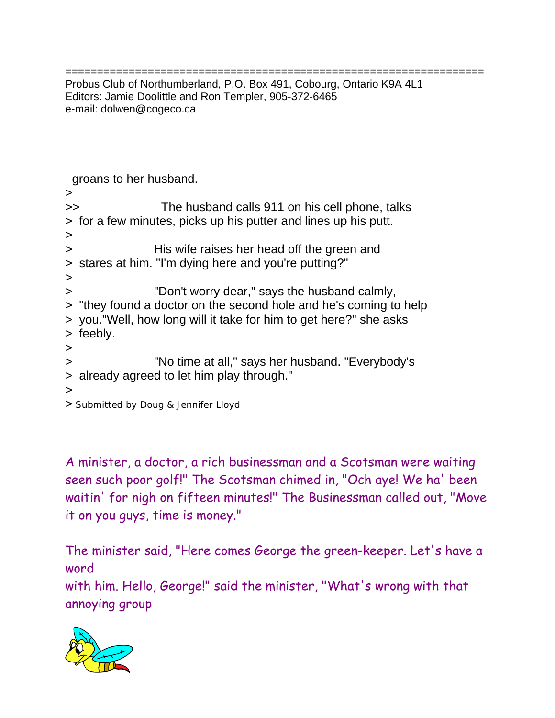================================================================== Probus Club of Northumberland, P.O. Box 491, Cobourg, Ontario K9A 4L1 Editors: Jamie Doolittle and Ron Templer, 905-372-6465 e-mail: dolwen@cogeco.ca

groans to her husband.

> >> The husband calls 911 on his cell phone, talks > for a few minutes, picks up his putter and lines up his putt. > > His wife raises her head off the green and > stares at him. "I'm dying here and you're putting?" > > "Don't worry dear," says the husband calmly, > "they found a doctor on the second hole and he's coming to help > you."Well, how long will it take for him to get here?" she asks > feebly. > > "No time at all," says her husband. "Everybody's > already agreed to let him play through." > > Submitted by Doug & Jennifer Lloyd

A minister, a doctor, a rich businessman and a Scotsman were waiting seen such poor golf!" The Scotsman chimed in, "Och aye! We ha' been waitin' for nigh on fifteen minutes!" The Businessman called out, "Move it on you guys, time is money."

The minister said, "Here comes George the green-keeper. Let's have a word with him. Hello, George!" said the minister, "What's wrong with that annoying group

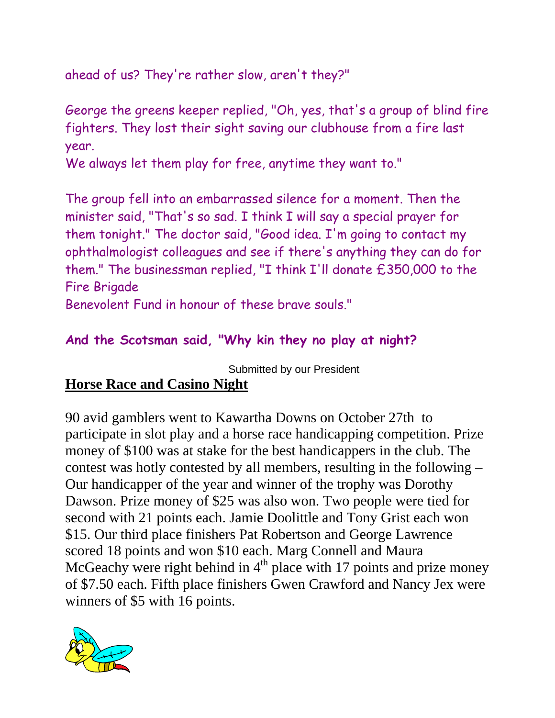ahead of us? They're rather slow, aren't they?"

George the greens keeper replied, "Oh, yes, that's a group of blind fire fighters. They lost their sight saving our clubhouse from a fire last year.

We always let them play for free, anytime they want to."

The group fell into an embarrassed silence for a moment. Then the minister said, "That's so sad. I think I will say a special prayer for them tonight." The doctor said, "Good idea. I'm going to contact my ophthalmologist colleagues and see if there's anything they can do for them." The businessman replied, "I think I'll donate £350,000 to the Fire Brigade

Benevolent Fund in honour of these brave souls."

### **And the Scotsman said, "Why kin they no play at night?**

Submitted by our President

# **Horse Race and Casino Night**

90 avid gamblers went to Kawartha Downs on October 27th to participate in slot play and a horse race handicapping competition. Prize money of \$100 was at stake for the best handicappers in the club. The contest was hotly contested by all members, resulting in the following – Our handicapper of the year and winner of the trophy was Dorothy Dawson. Prize money of \$25 was also won. Two people were tied for second with 21 points each. Jamie Doolittle and Tony Grist each won \$15. Our third place finishers Pat Robertson and George Lawrence scored 18 points and won \$10 each. Marg Connell and Maura McGeachy were right behind in  $4<sup>th</sup>$  place with 17 points and prize money of \$7.50 each. Fifth place finishers Gwen Crawford and Nancy Jex were winners of \$5 with 16 points.

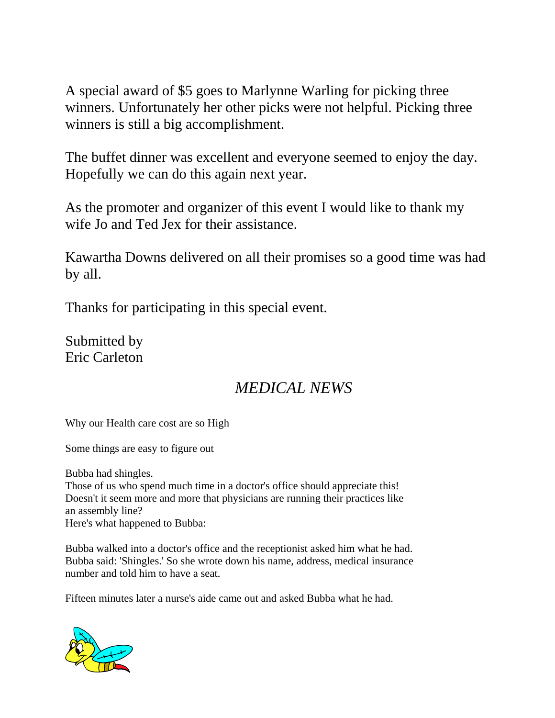A special award of \$5 goes to Marlynne Warling for picking three winners. Unfortunately her other picks were not helpful. Picking three winners is still a big accomplishment.

The buffet dinner was excellent and everyone seemed to enjoy the day. Hopefully we can do this again next year.

As the promoter and organizer of this event I would like to thank my wife Jo and Ted Jex for their assistance.

Kawartha Downs delivered on all their promises so a good time was had by all.

Thanks for participating in this special event.

Submitted by Eric Carleton

# *MEDICAL NEWS*

Why our Health care cost are so High

Some things are easy to figure out

Bubba had shingles.

Those of us who spend much time in a doctor's office should appreciate this! Doesn't it seem more and more that physicians are running their practices like an assembly line? Here's what happened to Bubba:

Bubba walked into a doctor's office and the receptionist asked him what he had. Bubba said: 'Shingles.' So she wrote down his name, address, medical insurance number and told him to have a seat.

Fifteen minutes later a nurse's aide came out and asked Bubba what he had.

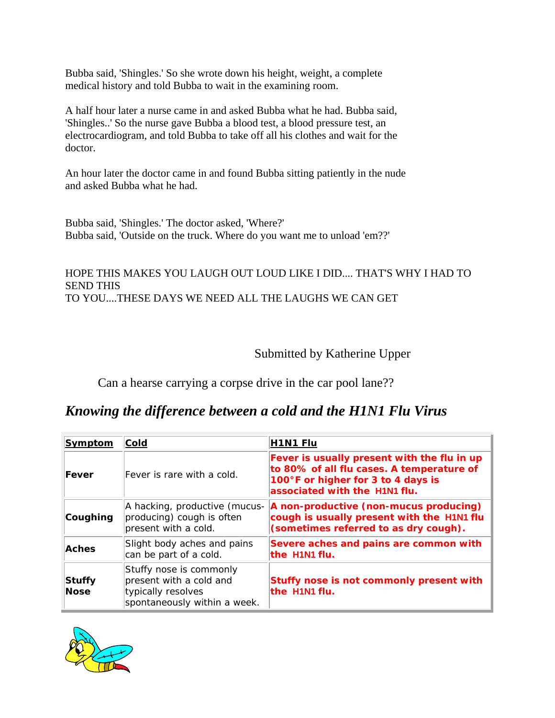Bubba said, 'Shingles.' So she wrote down his height, weight, a complete medical history and told Bubba to wait in the examining room.

A half hour later a nurse came in and asked Bubba what he had. Bubba said, 'Shingles..' So the nurse gave Bubba a blood test, a blood pressure test, an electrocardiogram, and told Bubba to take off all his clothes and wait for the doctor.

An hour later the doctor came in and found Bubba sitting patiently in the nude and asked Bubba what he had.

Bubba said, 'Shingles.' The doctor asked, 'Where?' Bubba said, 'Outside on the truck. Where do you want me to unload 'em??'

#### HOPE THIS MAKES YOU LAUGH OUT LOUD LIKE I DID.... THAT'S WHY I HAD TO SEND THIS TO YOU....THESE DAYS WE NEED ALL THE LAUGHS WE CAN GET

Submitted by Katherine Upper

Can a hearse carrying a corpse drive in the car pool lane??

#### *Knowing the difference between a cold and the H1N1 Flu Virus*

| <b>Symptom</b> | <b>Cold</b>                                                                                              | <b>H1N1 Flu</b>                                                                                                                                                 |
|----------------|----------------------------------------------------------------------------------------------------------|-----------------------------------------------------------------------------------------------------------------------------------------------------------------|
| Fever          | Fever is rare with a cold.                                                                               | Fever is usually present with the flu in up<br>to 80% of all flu cases. A temperature of<br>100°F or higher for 3 to 4 days is<br>associated with the H1N1 flu. |
| Coughing       | A hacking, productive (mucus-<br>producing) cough is often<br>present with a cold.                       | A non-productive (non-mucus producing)<br>cough is usually present with the H1N1 flu<br>(sometimes referred to as dry cough).                                   |
| <b>Aches</b>   | Slight body aches and pains<br>can be part of a cold.                                                    | Severe aches and pains are common with<br>the H1N1 flu.                                                                                                         |
| Stuffy<br>Nose | Stuffy nose is commonly<br>present with a cold and<br>typically resolves<br>spontaneously within a week. | Stuffy nose is not commonly present with<br>the H1N1 flu.                                                                                                       |

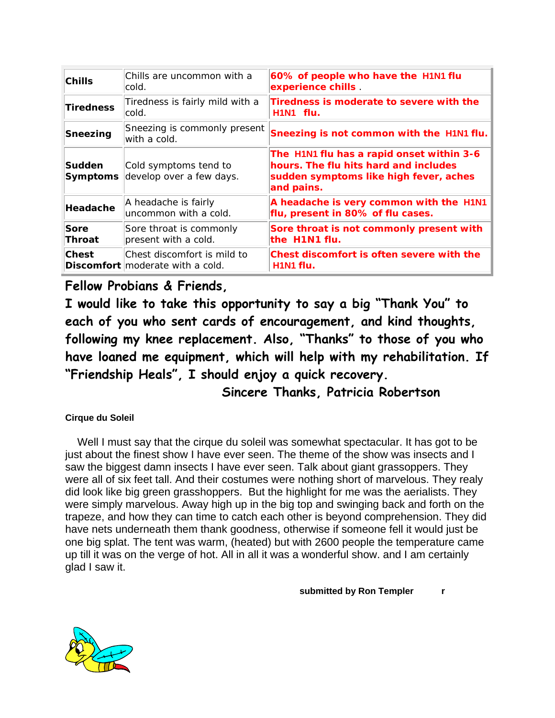| Chills                           | Chills are uncommon with a<br>cold.                                    | 60% of people who have the H1N1 flu<br>experience chills                                                                                   |
|----------------------------------|------------------------------------------------------------------------|--------------------------------------------------------------------------------------------------------------------------------------------|
| <b>Tiredness</b>                 | Tiredness is fairly mild with a<br>cold.                               | Tiredness is moderate to severe with the<br>H1N1 flu.                                                                                      |
| Sneezing                         | Sneezing is commonly present<br>with a cold.                           | Sneezing is not common with the H1N1 flu.                                                                                                  |
| <b>Sudden</b><br><b>Symptoms</b> | Cold symptoms tend to<br>develop over a few days.                      | The H1N1 flu has a rapid onset within 3-6<br>hours. The flu hits hard and includes<br>sudden symptoms like high fever, aches<br>and pains. |
| Headache                         | A headache is fairly<br>uncommon with a cold.                          | A headache is very common with the H1N1<br>flu, present in 80% of flu cases.                                                               |
| Sore<br><b>Throat</b>            | Sore throat is commonly<br>present with a cold.                        | Sore throat is not commonly present with<br>the H1N1 flu.                                                                                  |
| <b>Chest</b>                     | Chest discomfort is mild to<br><b>Discomfort</b> moderate with a cold. | Chest discomfort is often severe with the<br>H1N1 flu.                                                                                     |

#### **Fellow Probians & Friends,**

**I would like to take this opportunity to say a big "Thank You" to each of you who sent cards of encouragement, and kind thoughts, following my knee replacement. Also, "Thanks" to those of you who have loaned me equipment, which will help with my rehabilitation. If "Friendship Heals", I should enjoy a quick recovery.** 

 **Sincere Thanks, Patricia Robertson** 

**Cirque du Soleil**

 Well I must say that the cirque du soleil was somewhat spectacular. It has got to be just about the finest show I have ever seen. The theme of the show was insects and I saw the biggest damn insects I have ever seen. Talk about giant grassoppers. They were all of six feet tall. And their costumes were nothing short of marvelous. They realy did look like big green grasshoppers. But the highlight for me was the aerialists. They were simply marvelous. Away high up in the big top and swinging back and forth on the trapeze, and how they can time to catch each other is beyond comprehension. They did have nets underneath them thank goodness, otherwise if someone fell it would just be one big splat. The tent was warm, (heated) but with 2600 people the temperature came up till it was on the verge of hot. All in all it was a wonderful show. and I am certainly glad I saw it.

 **submitted by Ron Templer r**

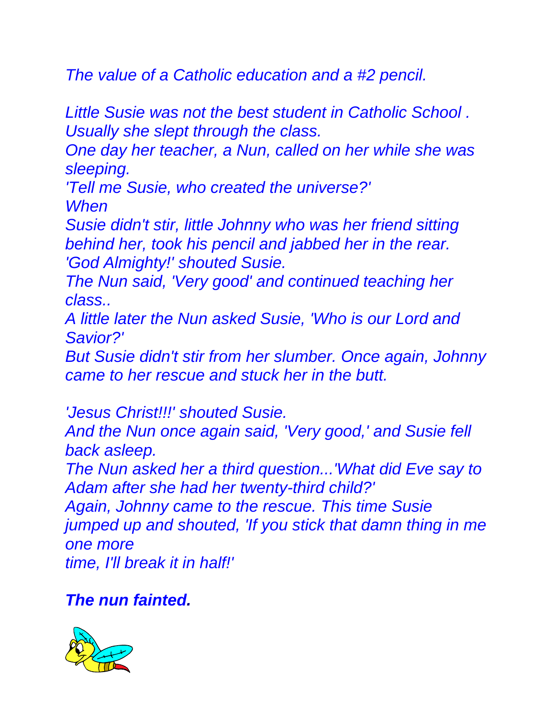*The value of a Catholic education and a #2 pencil.* 

*Little Susie was not the best student in Catholic School . Usually she slept through the class.* 

*One day her teacher, a Nun, called on her while she was sleeping.* 

*'Tell me Susie, who created the universe?' When* 

*Susie didn't stir, little Johnny who was her friend sitting behind her, took his pencil and jabbed her in the rear. 'God Almighty!' shouted Susie.* 

*The Nun said, 'Very good' and continued teaching her class..*

*A little later the Nun asked Susie, 'Who is our Lord and Savior?'* 

*But Susie didn't stir from her slumber. Once again, Johnny came to her rescue and stuck her in the butt.*

*'Jesus Christ!!!' shouted Susie.*

*And the Nun once again said, 'Very good,' and Susie fell back asleep.* 

*The Nun asked her a third question...'What did Eve say to Adam after she had her twenty-third child?'*

*Again, Johnny came to the rescue. This time Susie jumped up and shouted, 'If you stick that damn thing in me one more time, I'll break it in half!'* 

*The nun fainted.*

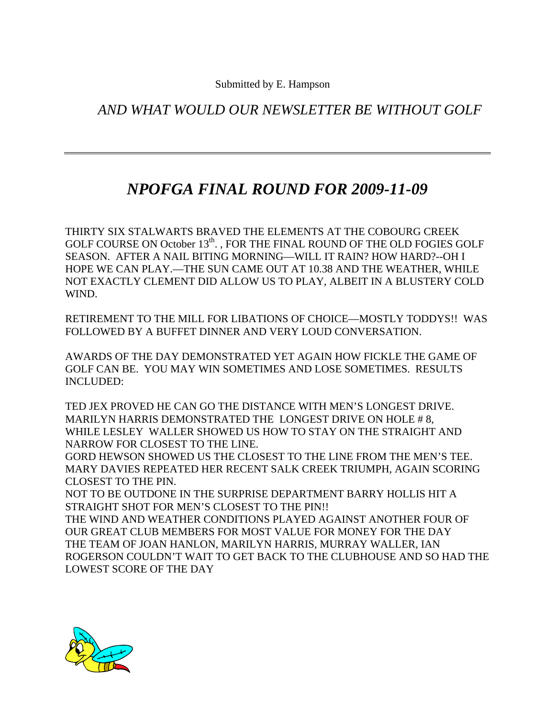*AND WHAT WOULD OUR NEWSLETTER BE WITHOUT GOLF* 

# *NPOFGA FINAL ROUND FOR 2009-11-09*

THIRTY SIX STALWARTS BRAVED THE ELEMENTS AT THE COBOURG CREEK GOLF COURSE ON October 13<sup>th</sup>., FOR THE FINAL ROUND OF THE OLD FOGIES GOLF SEASON. AFTER A NAIL BITING MORNING—WILL IT RAIN? HOW HARD?--OH I HOPE WE CAN PLAY.—THE SUN CAME OUT AT 10.38 AND THE WEATHER, WHILE NOT EXACTLY CLEMENT DID ALLOW US TO PLAY, ALBEIT IN A BLUSTERY COLD WIND.

RETIREMENT TO THE MILL FOR LIBATIONS OF CHOICE—MOSTLY TODDYS!! WAS FOLLOWED BY A BUFFET DINNER AND VERY LOUD CONVERSATION.

AWARDS OF THE DAY DEMONSTRATED YET AGAIN HOW FICKLE THE GAME OF GOLF CAN BE. YOU MAY WIN SOMETIMES AND LOSE SOMETIMES. RESULTS INCLUDED:

TED JEX PROVED HE CAN GO THE DISTANCE WITH MEN'S LONGEST DRIVE. MARILYN HARRIS DEMONSTRATED THE LONGEST DRIVE ON HOLE #8, WHILE LESLEY WALLER SHOWED US HOW TO STAY ON THE STRAIGHT AND NARROW FOR CLOSEST TO THE LINE.

GORD HEWSON SHOWED US THE CLOSEST TO THE LINE FROM THE MEN'S TEE. MARY DAVIES REPEATED HER RECENT SALK CREEK TRIUMPH, AGAIN SCORING CLOSEST TO THE PIN.

NOT TO BE OUTDONE IN THE SURPRISE DEPARTMENT BARRY HOLLIS HIT A STRAIGHT SHOT FOR MEN'S CLOSEST TO THE PIN!!

THE WIND AND WEATHER CONDITIONS PLAYED AGAINST ANOTHER FOUR OF OUR GREAT CLUB MEMBERS FOR MOST VALUE FOR MONEY FOR THE DAY THE TEAM OF JOAN HANLON, MARILYN HARRIS, MURRAY WALLER, IAN ROGERSON COULDN'T WAIT TO GET BACK TO THE CLUBHOUSE AND SO HAD THE LOWEST SCORE OF THE DAY

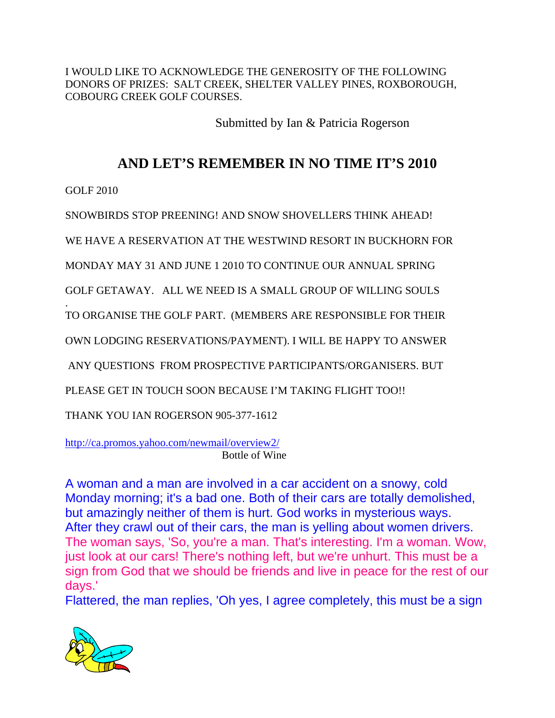I WOULD LIKE TO ACKNOWLEDGE THE GENEROSITY OF THE FOLLOWING DONORS OF PRIZES: SALT CREEK, SHELTER VALLEY PINES, ROXBOROUGH, COBOURG CREEK GOLF COURSES.

Submitted by Ian & Patricia Rogerson

### **AND LET'S REMEMBER IN NO TIME IT'S 2010**

GOLF 2010

.

SNOWBIRDS STOP PREENING! AND SNOW SHOVELLERS THINK AHEAD!

WE HAVE A RESERVATION AT THE WESTWIND RESORT IN BUCKHORN FOR

MONDAY MAY 31 AND JUNE 1 2010 TO CONTINUE OUR ANNUAL SPRING

GOLF GETAWAY. ALL WE NEED IS A SMALL GROUP OF WILLING SOULS

TO ORGANISE THE GOLF PART. (MEMBERS ARE RESPONSIBLE FOR THEIR

OWN LODGING RESERVATIONS/PAYMENT). I WILL BE HAPPY TO ANSWER

ANY QUESTIONS FROM PROSPECTIVE PARTICIPANTS/ORGANISERS. BUT

PLEASE GET IN TOUCH SOON BECAUSE I'M TAKING FLIGHT TOO!!

THANK YOU IAN ROGERSON 905-377-1612

http://ca.promos.yahoo.com/newmail/overview2/ Bottle of Wine

A woman and a man are involved in a car accident on a snowy, cold Monday morning; it's a bad one. Both of their cars are totally demolished, but amazingly neither of them is hurt. God works in mysterious ways. After they crawl out of their cars, the man is yelling about women drivers. The woman says, 'So, you're a man. That's interesting. I'm a woman. Wow, just look at our cars! There's nothing left, but we're unhurt. This must be a sign from God that we should be friends and live in peace for the rest of our days.'

Flattered, the man replies, 'Oh yes, I agree completely, this must be a sign

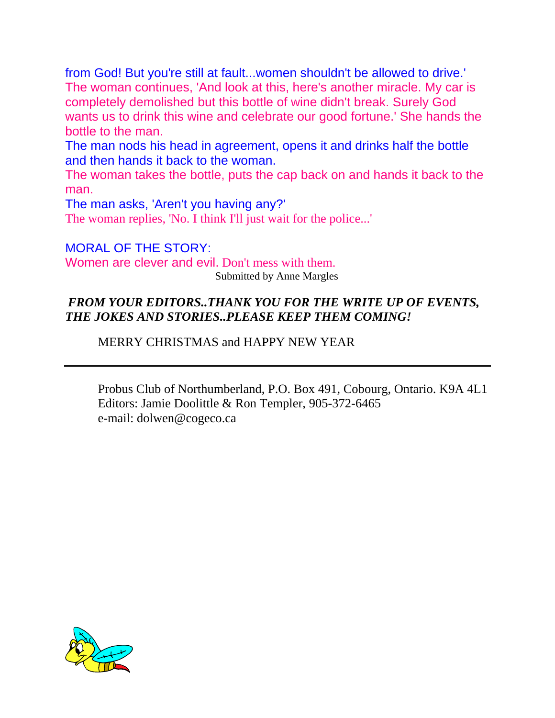from God! But you're still at fault...women shouldn't be allowed to drive.' The woman continues, 'And look at this, here's another miracle. My car is completely demolished but this bottle of wine didn't break. Surely God wants us to drink this wine and celebrate our good fortune.' She hands the bottle to the man.

The man nods his head in agreement, opens it and drinks half the bottle and then hands it back to the woman.

The woman takes the bottle, puts the cap back on and hands it back to the man.

The man asks, 'Aren't you having any?' The woman replies, 'No. I think I'll just wait for the police...'

MORAL OF THE STORY: Women are clever and evil. Don't mess with them. Submitted by Anne Margles

#### *FROM YOUR EDITORS..THANK YOU FOR THE WRITE UP OF EVENTS, THE JOKES AND STORIES..PLEASE KEEP THEM COMING!*

MERRY CHRISTMAS and HAPPY NEW YEAR

Probus Club of Northumberland, P.O. Box 491, Cobourg, Ontario. K9A 4L1 Editors: Jamie Doolittle & Ron Templer, 905-372-6465 e-mail: dolwen@cogeco.ca